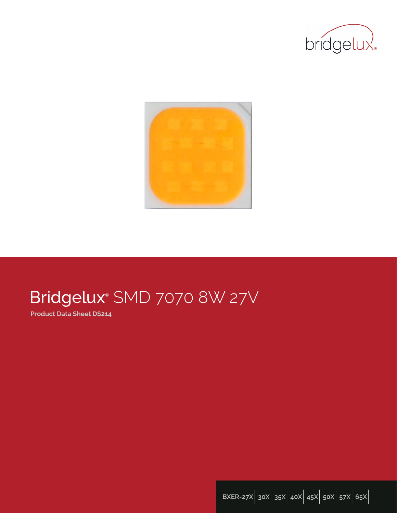



# Bridgelux® SMD 7070 8W 27V

**Product Data Sheet DS214**

**BXER-27X**| **30X**| **35X**| **40X**| **45X**| **50X**| **57X**| **65X**|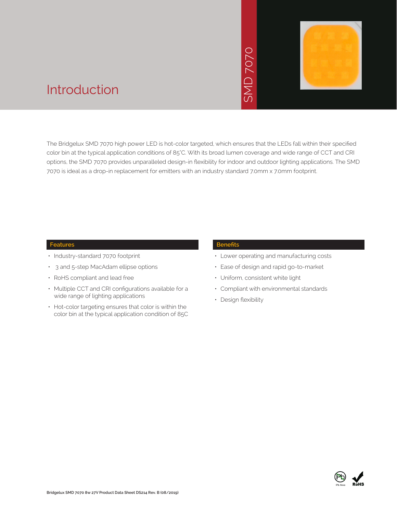# SMD 7070



## Introduction

The Bridgelux SMD 7070 high power LED is hot-color targeted, which ensures that the LEDs fall within their specified color bin at the typical application conditions of 85°C. With its broad lumen coverage and wide range of CCT and CRI options, the SMD 7070 provides unparalleled design-in flexibility for indoor and outdoor lighting applications. The SMD 7070 is ideal as a drop-in replacement for emitters with an industry standard 7.0mm x 7.0mm footprint. • Notich ensures that<br>
bad lumen coveragy<br>
for indoor and out<br>
stry standard 7.0mm<br>
Benefits<br>
• Lower operating<br>
• Ease of design a<br>
• Uniform, consiste<br>
• Compliant with e<br>
• Design flexibility

#### **Features**

- Industry-standard 7070 footprint
- 3 and 5-step MacAdam ellipse options
- RoHS compliant and lead free
- Multiple CCT and CRI configurations available for a wide range of lighting applications
- Hot-color targeting ensures that color is within the color bin at the typical application condition of 85C

#### **Benefits**

- Lower operating and manufacturing costs
- Ease of design and rapid go-to-market
- Uniform, consistent white light
- Compliant with environmental standards
- Design flexibility

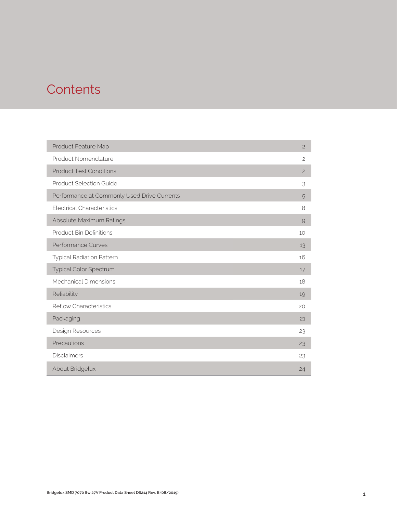# **Contents**

| Product Feature Map                         | $\mathbf{2}$   |
|---------------------------------------------|----------------|
| Product Nomenclature                        | $\mathbf{2}$   |
| <b>Product Test Conditions</b>              | $\overline{c}$ |
| <b>Product Selection Guide</b>              | 3              |
| Performance at Commonly Used Drive Currents | 5              |
| <b>Electrical Characteristics</b>           | 8              |
| Absolute Maximum Ratings                    | $\mathcal{Q}$  |
| <b>Product Bin Definitions</b>              | 10             |
| <b>Performance Curves</b>                   | 13             |
| <b>Typical Radiation Pattern</b>            | 16             |
| Typical Color Spectrum                      | 17             |
| <b>Mechanical Dimensions</b>                | 18             |
| Reliability                                 | 19             |
| <b>Reflow Characteristics</b>               | 20             |
| Packaging                                   | 21             |
| Design Resources                            | 23             |
| Precautions                                 | 23             |
| <b>Disclaimers</b>                          | 23             |
| About Bridgelux                             | 24             |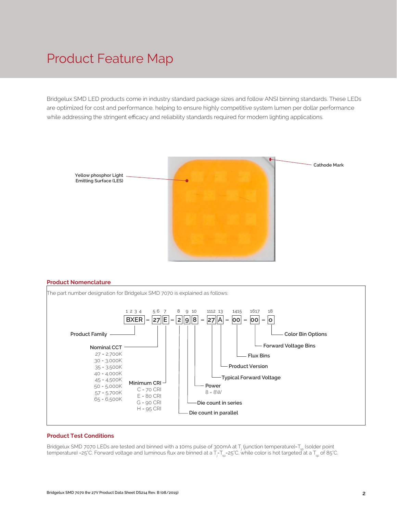## Product Feature Map

Bridgelux SMD LED products come in industry standard package sizes and follow ANSI binning standards. These LEDs are optimized for cost and performance, helping to ensure highly competitive system lumen per dollar performance while addressing the stringent efficacy and reliability standards required for modern lighting applications.



#### **Product Nomenclature**



#### **Product Test Conditions**

Bridgelux SMD 7070 LEDs are tested and binned with a 10ms pulse of 300mA at T<sub>j</sub> (junction temperature)-T<sub>sp</sub> (solder point temperature) =25°C. Forward voltage and luminous flux are binned at a T<sub>j=</sub>T<sub>sp</sub>=25°C, while color is hot targeted at a T<sub>sp</sub> of 85°C.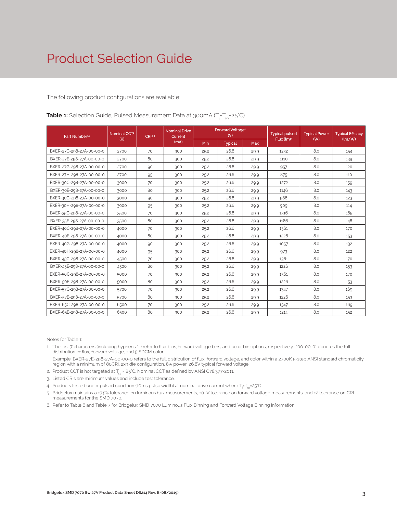The following product configurations are available:

| Part Number <sup>15</sup> | Nominal CCT <sup>2</sup> | CRI34 | <b>Nominal Drive</b><br>Current | Forward Voltage <sup>4</sup><br>(V) |                | <b>Typical pulsed</b> | <b>Typical Power</b>   | <b>Typical Efficacy</b> |        |
|---------------------------|--------------------------|-------|---------------------------------|-------------------------------------|----------------|-----------------------|------------------------|-------------------------|--------|
|                           | (K)                      |       | (mA)                            | Min                                 | <b>Typical</b> | Max                   | Flux (lm) <sup>4</sup> | (W)                     | (lm/W) |
| BXER-27C-298-27A-00-00-0  | 2700                     | 70    | 300                             | 25.2                                | 26.6           | 29.9                  | 1232                   | 8.0                     | 154    |
| BXER-27E-298-27A-00-00-0  | 2700                     | 80    | 300                             | 25.2                                | 26.6           | 29.9                  | 1110                   | 8.0                     | 139    |
| BXER-27G-298-27A-00-00-0  | 2700                     | 90    | 300                             | 25.2                                | 26.6           | 29.9                  | 957                    | 8.0                     | 120    |
| BXER-27H-298-27A-00-00-0  | 2700                     | 95    | 300                             | 25.2                                | 26.6           | 29.9                  | 875                    | 8.0                     | 110    |
| BXER-30C-298-27A-00-00-0  | 3000                     | 70    | 300                             | 25.2                                | 26.6           | 29.9                  | 1272                   | 8.0                     | 159    |
| BXER-30E-298-27A-00-00-0  | 3000                     | 80    | 300                             | 25.2                                | 26.6           | 29.9                  | 1146                   | 8.0                     | 143    |
| BXER-30G-298-27A-00-00-0  | 3000                     | 90    | 300                             | 25.2                                | 26.6           | 29.9                  | 986                    | 8.0                     | 123    |
| BXER-30H-298-27A-00-00-0  | 3000                     | 95    | 300                             | 25.2                                | 26.6           | 29.9                  | 909                    | 8.0                     | 114    |
| BXER-35C-298-27A-00-00-0  | 3500                     | 70    | 300                             | 25.2                                | 26.6           | 29.9                  | 1316                   | 8.0                     | 165    |
| BXER-35E-298-27A-00-00-0  | 3500                     | 80    | 300                             | 25.2                                | 26.6           | 29.9                  | 1186                   | 8.0                     | 148    |
| BXER-40C-298-27A-00-00-0  | 4000                     | 70    | 300                             | 25.2                                | 26.6           | 29.9                  | 1361                   | 8.0                     | 170    |
| BXER-40E-298-27A-00-00-0  | 4000                     | 80    | 300                             | 25.2                                | 26.6           | 29.9                  | 1226                   | 8.0                     | 153    |
| BXER-40G-298-27A-00-00-0  | 4000                     | 90    | 300                             | 25.2                                | 26.6           | 29.9                  | 1057                   | 8.0                     | 132    |
| BXER-40H-298-27A-00-00-0  | 4000                     | 95    | 300                             | 25.2                                | 26.6           | 29.9                  | 973                    | 8.0                     | 122    |
| BXER-45C-298-27A-00-00-0  | 4500                     | 70    | 300                             | 25.2                                | 26.6           | 29.9                  | 1361                   | 8.0                     | 170    |
| BXER-45E-298-27A-00-00-0  | 4500                     | 80    | 300                             | 25.2                                | 26.6           | 29.9                  | 1226                   | 8.0                     | 153    |
| BXER-50C-298-27A-00-00-0  | 5000                     | 70    | 300                             | 25.2                                | 26.6           | 29.9                  | 1361                   | 8.0                     | 170    |
| BXER-50E-298-27A-00-00-0  | 5000                     | 80    | 300                             | 25.2                                | 26.6           | 29.9                  | 1226                   | 8.0                     | 153    |
| BXER-57C-298-27A-00-00-0  | 5700                     | 70    | 300                             | 25.2                                | 26.6           | 29.9                  | 1347                   | 8.0                     | 169    |
| BXER-57E-298-27A-00-00-0  | 5700                     | 80    | 300                             | 25.2                                | 26.6           | 29.9                  | 1226                   | 8.0                     | 153    |
| BXER-65C-298-27A-00-00-0  | 6500                     | 70    | 300                             | 25.2                                | 26.6           | 29.9                  | 1347                   | 8.0                     | 169    |
| BXER-65E-298-27A-00-00-0  | 6500                     | 80    | 300                             | 25.2                                | 26.6           | 29.9                  | 1214                   | 8.0                     | 152    |

**Table 1:** Selection Guide, Pulsed Measurement Data at 300mA (T<sub>j</sub>=T<sub>sp</sub>=25°C)

Notes for Table 1:

1. The last 7 characters (including hyphens '-') refer to flux bins, forward voltage bins, and color bin options, respectively. "00-00-0" denotes the full distribution of flux, forward voltage, and 5 SDCM color.

 Example: BXER-27E-298-27A-00-00-0 refers to the full distribution of flux, forward voltage, and color within a 2700K 5-step ANSI standard chromaticity region with a minimum of 80CRI, 2x9 die configuration, 8w power, 26.6V typical forward voltage.

- 2. Product CCT is hot targeted at  $T_{\rm{so}}$  = 85°C. Nominal CCT as defined by ANSI C78.377-2011.
- 3. Listed CRIs are minimum values and include test tolerance.
- 4. Products tested under pulsed condition (10ms pulse width) at nominal drive current where T<sub>i</sub>-T<sub>sp</sub>-25°C.
- 5. Bridgelux maintains a ±7.5% tolerance on luminous flux measurements, ±0.1V tolerance on forward voltage measurements, and ±2 tolerance on CRI measurements for the SMD 7070.
- 6. Refer to Table 6 and Table 7 for Bridgelux SMD 7070 Luminous Flux Binning and Forward Voltage Binning information.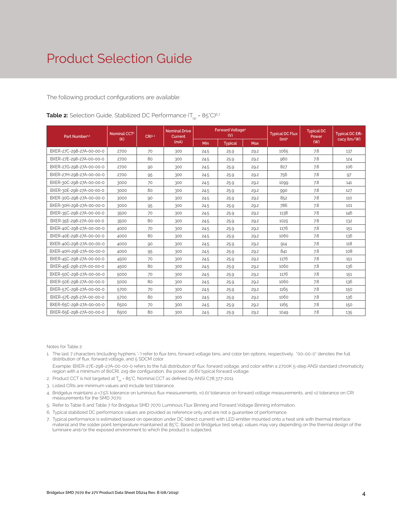The following product configurations are available:

| Part Number <sup>15</sup> | Nominal CCT <sup>2</sup><br>CRI34 |    | <b>Nominal Drive</b><br>Current | Forward Voltage <sup>4</sup><br>(V) |                |            | <b>Typical DC Flux</b> | <b>Typical DC</b><br>Power | <b>Typical DC Effi-</b> |
|---------------------------|-----------------------------------|----|---------------------------------|-------------------------------------|----------------|------------|------------------------|----------------------------|-------------------------|
|                           | (K)                               |    | (mA)                            | Min                                 | <b>Typical</b> | <b>Max</b> | (lm) <sup>4</sup>      | (W)                        | cacy (lm/W)             |
| BXER-27C-298-27A-00-00-0  | 2700                              | 70 | 300                             | 24.5                                | 25.9           | 29.2       | 1065                   | 7.8                        | 137                     |
| BXER-27E-298-27A-00-00-0  | 2700                              | 80 | 300                             | 24.5                                | 25.9           | 29.2       | 960                    | 7.8                        | 124                     |
| BXER-27G-298-27A-00-00-0  | 2700                              | 90 | 300                             | 24.5                                | 25.9           | 29.2       | 827                    | 7.8                        | 106                     |
| BXER-27H-298-27A-00-00-0  | 2700                              | 95 | 300                             | 24.5                                | 25.9           | 29.2       | 756                    | 7.8                        | 97                      |
| BXER-30C-298-27A-00-00-0  | 3000                              | 70 | 300                             | 24.5                                | 25.9           | 29.2       | 1099                   | 7.8                        | 141                     |
| BXER-30E-298-27A-00-00-0  | 3000                              | 80 | 300                             | 24.5                                | 25.9           | 29.2       | 990                    | 7.8                        | 127                     |
| BXER-30G-298-27A-00-00-0  | 3000                              | 90 | 300                             | 24.5                                | 25.9           | 29.2       | 852                    | 7.8                        | 110                     |
| BXER-30H-298-27A-00-00-0  | 3000                              | 95 | 300                             | 24.5                                | 25.9           | 29.2       | 786                    | 7.8                        | 101                     |
| BXER-35C-298-27A-00-00-0  | 3500                              | 70 | 300                             | 24.5                                | 25.9           | 29.2       | 1138                   | 7.8                        | 146                     |
| BXER-35E-298-27A-00-00-0  | 3500                              | 80 | 300                             | 24.5                                | 25.9           | 29.2       | 1025                   | 7.8                        | 132                     |
| BXER-40C-298-27A-00-00-0  | 4000                              | 70 | 300                             | 24.5                                | 25.9           | 29.2       | 1176                   | 7.8                        | 151                     |
| BXER-40E-298-27A-00-00-0  | 4000                              | 80 | 300                             | 24.5                                | 25.9           | 29.2       | 1060                   | 7.8                        | 136                     |
| BXER-40G-298-27A-00-00-0  | 4000                              | 90 | 300                             | 24.5                                | 25.9           | 29.2       | 914                    | 7.8                        | 118                     |
| BXER-40H-298-27A-00-00-0  | 4000                              | 95 | 300                             | 24.5                                | 25.9           | 29.2       | 841                    | 7.8                        | 108                     |
| BXER-45C-298-27A-00-00-0  | 4500                              | 70 | 300                             | 24.5                                | 25.9           | 29.2       | 1176                   | 7.8                        | 151                     |
| BXER-45E-298-27A-00-00-0  | 4500                              | 80 | 300                             | 24.5                                | 25.9           | 29.2       | 1060                   | 7.8                        | 136                     |
| BXER-50C-298-27A-00-00-0  | 5000                              | 70 | 300                             | 24.5                                | 25.9           | 29.2       | 1176                   | 7.8                        | 151                     |
| BXER-50E-298-27A-00-00-0  | 5000                              | 80 | 300                             | 24.5                                | 25.9           | 29.2       | 1060                   | 7.8                        | 136                     |
| BXER-57C-298-27A-00-00-0  | 5700                              | 70 | 300                             | 24.5                                | 25.9           | 29.2       | 1165                   | 7.8                        | 150                     |
| BXER-57E-298-27A-00-00-0  | 5700                              | 80 | 300                             | 24.5                                | 25.9           | 29.2       | 1060                   | 7.8                        | 136                     |
| BXER-65C-298-27A-00-00-0  | 6500                              | 70 | 300                             | 24.5                                | 25.9           | 29.2       | 1165                   | 7.8                        | 150                     |
| BXER-65E-298-27A-00-00-0  | 6500                              | 80 | 300                             | 24.5                                | 25.9           | 29.2       | 1049                   | 7.8                        | 135                     |

**Table 2:** Selection Guide, Stabilized DC Performance (T<sub>sp</sub> = 85°C)<sup>6,7</sup>

Notes for Table 2:

1. The last 7 characters (including hyphens '-') refer to flux bins, forward voltage bins, and color bin options, respectively. "00-00-0" denotes the full distribution of flux, forward voltage, and 5 SDCM color.

 Example: BXER-27E-298-27A-00-00-0 refers to the full distribution of flux, forward voltage, and color within a 2700K 5-step ANSI standard chromaticity region with a minimum of 80CRI, 2x9 die configuration, 8w power, 26.6V typical forward voltage.

- 2. Product CCT is hot targeted at  $T_{\text{sp}}$  = 85°C. Nominal CCT as defined by ANSI C78.377-2011.
- 3. Listed CRIs are minimum values and include test tolerance.
- 4. Bridgelux maintains a ±7.5% tolerance on luminous flux measurements, ±0.1V tolerance on forward voltage measurements, and ±2 tolerance on CRI measurements for the SMD 7070.
- 5. Refer to Table 6 and Table 7 for Bridgelux SMD 7070 Luminous Flux Binning and Forward Voltage Binning information.
- 6. Typical stabilized DC performance values are provided as reference only and are not a guarantee of performance.
- 7. Typical performance is estimated based on operation under DC (direct current) with LED emitter mounted onto a heat sink with thermal interface material and the solder point temperature maintained at 85°C. Based on Bridgelux test setup, values may vary depending on the thermal design of the luminaire and/or the exposed environment to which the product is subjected.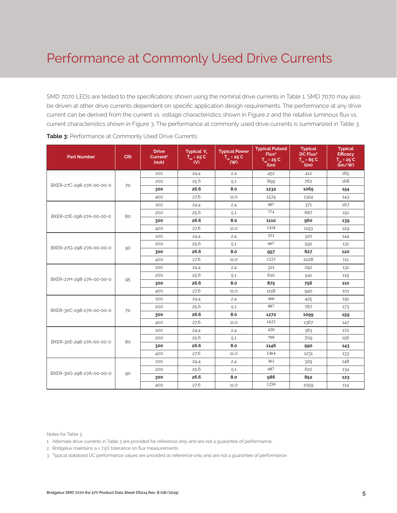# Performance at Commonly Used Drive Currents

SMD 7070 LEDs are tested to the specifications shown using the nominal drive currents in Table 1. SMD 7070 may also be driven at other drive currents dependent on specific application design requirements. The performance at any drive current can be derived from the current vs. voltage characteristics shown in Figure 2 and the relative luminous flux vs. current characteristics shown in Figure 3. The performance at commonly used drive currents is summarized in Table 3.

| <b>Part Number</b>       | <b>CRI</b> | <b>Drive</b><br>Current <sup>1</sup><br>(mA) | Typical V.<br>$T_{\rm sp}$ = 25°C<br>$\mathbf{w}$ | <b>Typical Power</b><br>$T_{\rm sp}$ = 25°C<br>$($ W) | <b>Typical Pulsed</b><br>Flux <sup>2</sup><br>$T_{sp} = 25^{\circ}C$<br>$\mu$ | <b>Typical</b><br>DC Flux <sup>3</sup><br>$T_{\rm SD} = 85^{\circ}C$<br>(lm) | <b>Typical</b><br><b>Efficacy</b><br>$T_m = 25^{\circ}C$<br>$\lim$ /w |
|--------------------------|------------|----------------------------------------------|---------------------------------------------------|-------------------------------------------------------|-------------------------------------------------------------------------------|------------------------------------------------------------------------------|-----------------------------------------------------------------------|
|                          |            | 100                                          | 24.4                                              | 2.4                                                   | 452                                                                           | 412                                                                          | 185                                                                   |
| BXER-27C-298-27A-00-00-0 | 70         | 200                                          | 25.6                                              | 5.1                                                   | 859                                                                           | 762                                                                          | 168                                                                   |
|                          |            | 300                                          | 26.6                                              | 8.0                                                   | 1232                                                                          | 1065                                                                         | 154                                                                   |
|                          |            | 400                                          | 27.6                                              | 11.0                                                  | 1574                                                                          | 1324                                                                         | 143                                                                   |
|                          |            | 100                                          | 24.4                                              | 2.4                                                   | 407                                                                           | 371                                                                          | 167                                                                   |
| BXER-27E-298-27A-00-00-0 | 80         | 200                                          | 25.6                                              | 5.1                                                   | 774                                                                           | 687                                                                          | 151                                                                   |
|                          |            | 300                                          | 26.6                                              | 8.0                                                   | 1110                                                                          | 960                                                                          | 139                                                                   |
|                          |            | 400                                          | 27.6                                              | 11.0                                                  | 1418                                                                          | 1193                                                                         | 129                                                                   |
|                          |            | 100                                          | 24.4                                              | 2.4                                                   | 351                                                                           | 320                                                                          | 144                                                                   |
| BXER-27G-298-27A-00-00-0 | 90         | 200                                          | 25.6                                              | 5.1                                                   | 667                                                                           | 592                                                                          | 131                                                                   |
|                          |            | 300                                          | 26.6                                              | 8.0                                                   | 957                                                                           | 827                                                                          | 120                                                                   |
|                          |            | 400                                          | 27.6                                              | 11.0                                                  | 1223                                                                          | 1028                                                                         | 111                                                                   |
|                          | 95         | 100                                          | 24.4                                              | 2.4                                                   | 321                                                                           | 292                                                                          | 131                                                                   |
| BXER-27H-298-27A-00-00-0 |            | 200                                          | 25.6                                              | 5.1                                                   | 610                                                                           | 541                                                                          | 119                                                                   |
|                          |            | 300                                          | 26.6                                              | 8.0                                                   | 875                                                                           | 756                                                                          | 110                                                                   |
|                          |            | 400                                          | 27.6                                              | 11.0                                                  | 1118                                                                          | 940                                                                          | 101                                                                   |
|                          |            | 100                                          | 24.4                                              | 2.4                                                   | 466                                                                           | 425                                                                          | 191                                                                   |
| BXER-30C-298-27A-00-00-0 | 70         | 200                                          | 25.6                                              | 5.1                                                   | 887                                                                           | 787                                                                          | 173                                                                   |
|                          |            | 300                                          | 26.6                                              | 8.0                                                   | 1272                                                                          | 1099                                                                         | 159                                                                   |
|                          |            | 400                                          | 27.6                                              | 11.0                                                  | 1625                                                                          | 1367                                                                         | 147                                                                   |
|                          |            | 100                                          | 24.4                                              | 2.4                                                   | 420                                                                           | 383                                                                          | 172                                                                   |
| BXER-30E-298-27A-00-00-0 | 80         | 200                                          | 25.6                                              | 5.1                                                   | 799                                                                           | 709                                                                          | 156                                                                   |
|                          |            | 300                                          | 26.6                                              | 8.0                                                   | 1146                                                                          | 990                                                                          | 143                                                                   |
|                          |            | 400                                          | 27.6                                              | 11.0                                                  | 1464                                                                          | 1231                                                                         | 133                                                                   |
|                          |            | 100                                          | 24.4                                              | 2.4                                                   | 361                                                                           | 329                                                                          | 148                                                                   |
| BXER-30G-298-27A-00-00-0 | 90         | 200                                          | 25.6                                              | 5.1                                                   | 687                                                                           | 610                                                                          | 134                                                                   |
|                          |            | 300                                          | 26.6                                              | 8.0                                                   | 986                                                                           | 852                                                                          | 123                                                                   |
|                          |            | 400                                          | 27.6                                              | 11.0                                                  | 1259                                                                          | 1059                                                                         | 114                                                                   |

Notes for Table 3:

2. Bridgelux maintains a ± 7.5% tolerance on flux measurements.

<sup>1.</sup> Alternate drive currents in Table 3 are provided for reference only and are not a guarantee of performance.

<sup>3.</sup> Typical stabilized DC performance values are provided as reference only and are not a guarantee of performance.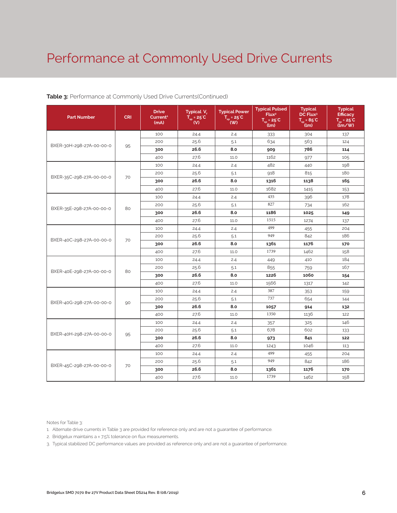# Performance at Commonly Used Drive Currents

| <b>Part Number</b>       | <b>CRI</b> | <b>Drive</b><br>Current <sup>1</sup><br>(mA) | Typical V.<br>$\overline{T}_{\rm so}$ = 25°C<br>(V) | <b>Typical Power</b><br>$T_{sp} = 25^{\circ}C$<br>(W) | <b>Typical Pulsed</b><br>Flux <sup>2</sup><br>$T_{sp} = 25^{\circ}C$<br>(lm) | <b>Typical</b><br>DC Flux <sup>3</sup><br>$T_{\dots} = 85^{\circ}C$<br>$\mu$ (lm) | <b>Typical</b><br><b>Efficacy</b><br>$T_m = 25^{\circ}C$<br>$\lim$ /w |
|--------------------------|------------|----------------------------------------------|-----------------------------------------------------|-------------------------------------------------------|------------------------------------------------------------------------------|-----------------------------------------------------------------------------------|-----------------------------------------------------------------------|
|                          |            | 100                                          | 24.4                                                | 2.4                                                   | 333                                                                          | 304                                                                               | 137                                                                   |
| BXER-30H-298-27A-00-00-0 | 95         | 200                                          | 25.6                                                | 5.1                                                   | 634                                                                          | 563                                                                               | 124                                                                   |
|                          |            | 300                                          | 26.6                                                | 8.0                                                   | 909                                                                          | 786                                                                               | 114                                                                   |
|                          |            | 400                                          | 27.6                                                | 11.0                                                  | 1162                                                                         | 977                                                                               | 105                                                                   |
|                          |            | 100                                          | 24.4                                                | 2.4                                                   | 482                                                                          | 440                                                                               | 198                                                                   |
| BXER-35C-298-27A-00-00-0 | 70         | 200                                          | 25.6                                                | 5.1                                                   | 918                                                                          | 815                                                                               | 180                                                                   |
|                          |            | 300                                          | 26.6                                                | 8.0                                                   | 1316                                                                         | 1138                                                                              | 165                                                                   |
|                          |            | 400                                          | 27.6                                                | 11.0                                                  | 1682                                                                         | 1415                                                                              | 153                                                                   |
|                          |            | 100                                          | 24.4                                                | 2.4                                                   | 435                                                                          | 396                                                                               | 178                                                                   |
| BXER-35E-298-27A-00-00-0 | 80         | 200                                          | 25.6                                                | 5.1                                                   | 827                                                                          | 734                                                                               | 162                                                                   |
|                          |            | 300                                          | 26.6                                                | 8.0                                                   | 1186                                                                         | 1025                                                                              | 149                                                                   |
|                          |            | 400                                          | 27.6                                                | 11.0                                                  | 1515                                                                         | 1274                                                                              | 137                                                                   |
|                          | 70         | 100                                          | 24.4                                                | 2.4                                                   | 499                                                                          | 455                                                                               | 204                                                                   |
| BXER-40C-298-27A-00-00-0 |            | 200                                          | 25.6                                                | 5.1                                                   | 949                                                                          | 842                                                                               | 186                                                                   |
|                          |            | 300                                          | 26.6                                                | 8.0                                                   | 1361                                                                         | 1176                                                                              | 170                                                                   |
|                          |            | 400                                          | 27.6                                                | 11.0                                                  | 1739                                                                         | 1462                                                                              | 158                                                                   |
|                          | 80         | 100                                          | 24.4                                                | 2.4                                                   | 449                                                                          | 410                                                                               | 184                                                                   |
| BXER-40E-298-27A-00-00-0 |            | 200                                          | 25.6                                                | 5.1                                                   | 855                                                                          | 759                                                                               | 167                                                                   |
|                          |            | 300                                          | 26.6                                                | 8.0                                                   | 1226                                                                         | 1060                                                                              | 154                                                                   |
|                          |            | 400                                          | 27.6                                                | 11.0                                                  | 1566                                                                         | 1317                                                                              | 142                                                                   |
|                          |            | 100                                          | 24.4                                                | 2.4                                                   | 387                                                                          | 353                                                                               | 159                                                                   |
| BXER-40G-298-27A-00-00-0 | 90         | 200                                          | 25.6                                                | 5.1                                                   | 737                                                                          | 654                                                                               | 144                                                                   |
|                          |            | 300                                          | 26.6                                                | 8.0                                                   | 1057                                                                         | 914                                                                               | 132                                                                   |
|                          |            | 400                                          | 27.6                                                | 11.0                                                  | 1350                                                                         | 1136                                                                              | 122                                                                   |
|                          |            | 100                                          | 24.4                                                | 2.4                                                   | 357                                                                          | 325                                                                               | 146                                                                   |
| BXER-40H-298-27A-00-00-0 | 95         | 200                                          | 25.6                                                | 5.1                                                   | 678                                                                          | 602                                                                               | 133                                                                   |
|                          |            | 300                                          | 26.6                                                | 8.0                                                   | 973                                                                          | 841                                                                               | 122                                                                   |
|                          |            | 400                                          | 27.6                                                | 11.0                                                  | 1243                                                                         | 1046                                                                              | 113                                                                   |
|                          |            | 100                                          | 24.4                                                | 2.4                                                   | 499                                                                          | 455                                                                               | 204                                                                   |
| BXER-45C-298-27A-00-00-0 | 70         | 200                                          | 25.6                                                | 5.1                                                   | 949                                                                          | 842                                                                               | 186                                                                   |
|                          |            | 300                                          | 26.6                                                | 8.0                                                   | 1361                                                                         | 1176                                                                              | 170                                                                   |
|                          |            | 400                                          | 27.6                                                | 11.0                                                  | 1739                                                                         | 1462                                                                              | 158                                                                   |

## **Table 3:** Performance at Commonly Used Drive Currents(Continued)

Notes for Table 3:

1. Alternate drive currents in Table 3 are provided for reference only and are not a guarantee of performance.

2. Bridgelux maintains a ± 7.5% tolerance on flux measurements.

3. Typical stabilized DC performance values are provided as reference only and are not a guarantee of performance.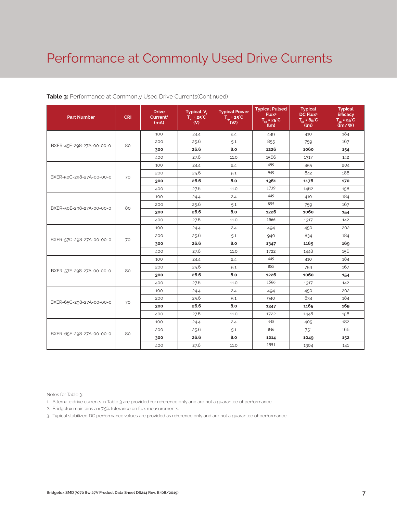# Performance at Commonly Used Drive Currents

| <b>Part Number</b>       | <b>CRI</b> | <b>Drive</b><br>Current <sup>1</sup><br>(mA) | Typical V <sub>c</sub><br>$T_{\rm SD}$ = 25°C<br>(V) | <b>Typical Power</b><br>$T_{\rm SD} = 25^{\circ}C$<br>( W ) | <b>Typical Pulsed</b><br>Flux <sup>2</sup><br>$\overline{T}_{\rm sn}$ = 25 <sup>°</sup> C<br>(lm) | <b>Typical</b><br>DC Flux <sup>3</sup><br>$T_{\rm SD} = 85^{\circ}C$<br>้(lm) | <b>Typical</b><br><b>Efficacy</b><br>$T_{-}$ = 25°C<br>$(\mathbf{m} / \mathbf{W})$ |
|--------------------------|------------|----------------------------------------------|------------------------------------------------------|-------------------------------------------------------------|---------------------------------------------------------------------------------------------------|-------------------------------------------------------------------------------|------------------------------------------------------------------------------------|
|                          |            | 100                                          | 24.4                                                 | 2.4                                                         | 449                                                                                               | 410                                                                           | 184                                                                                |
| BXER-45E-298-27A-00-00-0 | 80         | 200                                          | 25.6                                                 | 5.1                                                         | 855                                                                                               | 759                                                                           | 167                                                                                |
|                          |            | 300                                          | 26.6                                                 | 8.0                                                         | 1226                                                                                              | 1060                                                                          | 154                                                                                |
|                          |            | 400                                          | 27.6                                                 | 11.0                                                        | 1566                                                                                              | 1317                                                                          | 142                                                                                |
|                          |            | 100                                          | 24.4                                                 | 2.4                                                         | 499                                                                                               | 455                                                                           | 204                                                                                |
| BXER-50C-298-27A-00-00-0 | 70         | 200                                          | 25.6                                                 | 5.1                                                         | 949                                                                                               | 842                                                                           | 186                                                                                |
|                          |            | 300                                          | 26.6                                                 | 8.0                                                         | 1361                                                                                              | 1176                                                                          | 170                                                                                |
|                          |            | 400                                          | 27.6                                                 | 11.0                                                        | 1739                                                                                              | 1462                                                                          | 158                                                                                |
|                          |            | 100                                          | 24.4                                                 | 2.4                                                         | 449                                                                                               | 410                                                                           | 184                                                                                |
| BXER-50E-298-27A-00-00-0 | 80         | 200                                          | 25.6                                                 | 5.1                                                         | 855                                                                                               | 759                                                                           | 167                                                                                |
|                          |            | 300                                          | 26.6                                                 | 8.0                                                         | 1226                                                                                              | 1060                                                                          | 154                                                                                |
|                          |            | 400                                          | 27.6                                                 | 11.0                                                        | 1566                                                                                              | 1317                                                                          | 142                                                                                |
|                          | 70         | 100                                          | 24.4                                                 | 2.4                                                         | 494                                                                                               | 450                                                                           | 202                                                                                |
| BXER-57C-298-27A-00-00-0 |            | 200                                          | 25.6                                                 | 5.1                                                         | 940                                                                                               | 834                                                                           | 184                                                                                |
|                          |            | 300                                          | 26.6                                                 | 8.0                                                         | 1347                                                                                              | 1165                                                                          | 169                                                                                |
|                          |            | 400                                          | 27.6                                                 | 11.0                                                        | 1722                                                                                              | 1448                                                                          | 156                                                                                |
|                          |            | 100                                          | 24.4                                                 | 2.4                                                         | 449                                                                                               | 410                                                                           | 184                                                                                |
| BXER-57E-298-27A-00-00-0 | 80         | 200                                          | 25.6                                                 | 5.1                                                         | 855                                                                                               | 759                                                                           | 167                                                                                |
|                          |            | 300                                          | 26.6                                                 | 8.0                                                         | 1226                                                                                              | 1060                                                                          | 154                                                                                |
|                          |            | 400                                          | 27.6                                                 | 11.0                                                        | 1566                                                                                              | 1317                                                                          | 142                                                                                |
|                          |            | 100                                          | 24.4                                                 | 2.4                                                         | 494                                                                                               | 450                                                                           | 202                                                                                |
| BXER-65C-298-27A-00-00-0 | 70         | 200                                          | 25.6                                                 | 5.1                                                         | 940                                                                                               | 834                                                                           | 184                                                                                |
|                          |            | 300                                          | 26.6                                                 | 8.0                                                         | 1347                                                                                              | 1165                                                                          | 169                                                                                |
|                          |            | 400                                          | 27.6                                                 | 11.0                                                        | 1722                                                                                              | 1448                                                                          | 156                                                                                |
|                          |            | 100                                          | 24.4                                                 | 2.4                                                         | 445                                                                                               | 405                                                                           | 182                                                                                |
| BXER-65E-298-27A-00-00-0 | 80         | 200                                          | 25.6                                                 | 5.1                                                         | 846                                                                                               | 751                                                                           | 166                                                                                |
|                          |            | 300                                          | 26.6                                                 | 8.0                                                         | 1214                                                                                              | 1049                                                                          | 152                                                                                |
|                          |            | 400                                          | 27.6                                                 | 11.0                                                        | 1551                                                                                              | 1304                                                                          | 141                                                                                |

## **Table 3:** Performance at Commonly Used Drive Currents(Continued)

Notes for Table 3:

1. Alternate drive currents in Table 3 are provided for reference only and are not a guarantee of performance.

2. Bridgelux maintains a ± 7.5% tolerance on flux measurements.

3. Typical stabilized DC performance values are provided as reference only and are not a guarantee of performance.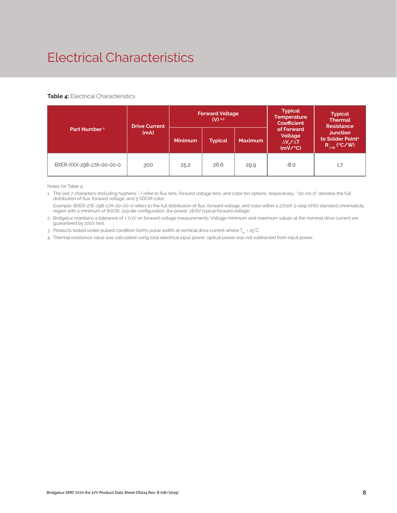# Electrical Characteristics

## **Table 4:** Electrical Characteristics

|                          | <b>Drive Current</b> |                | <b>Forward Voltage</b><br>$(V)$ <sup>2,3</sup> |                | <b>Typical</b><br><b>Temperature</b><br><b>Coefficient</b>  | <b>Typical</b><br><b>Thermal</b><br><b>Resistance</b>                      |  |
|--------------------------|----------------------|----------------|------------------------------------------------|----------------|-------------------------------------------------------------|----------------------------------------------------------------------------|--|
| Part Number <sup>1</sup> | (mA)                 | <b>Minimum</b> | <b>Typical</b>                                 | <b>Maximum</b> | of Forward<br>Voltage<br>$\Delta V \sim \Delta T$<br>(mV/C) | <b>Junction</b><br>to Solder Point <sup>4</sup><br>$R_{\text{isp}}$ (°C/W) |  |
| BXER-XXX-298-27A-00-00-0 | 300                  | 25.2           | 26.6                                           | 29.9           | $-8.0$                                                      | 1.7                                                                        |  |

Notes for Table 4:

1. The last 7 characters (including hyphens '-') refer to flux bins, forward voltage bins, and color bin options, respectively. "00-00-0" denotes the full distribution of flux, forward voltage, and 5 SDCM color.

 Example: BXER-27E-298-27A-00-00-0 refers to the full distribution of flux, forward voltage, and color within a 2700K 5-step ANSI standard chromaticity region with a minimum of 80CRI, 2x9 die configuration, 8w power, 26.6V typical forward voltage.

2. Bridgelux maintains a tolerance of ± 0.1V on forward voltage measurements. Voltage minimum and maximum values at the nominal drive current are guaranteed by 100% test.

3. Products tested under pulsed condition (10ms pulse width) at nominal drive current where  $T_{\rm es}$  = 25°C.

4. Thermal resistance value was calculated using total electrical input power; optical power was not subtracted from input power.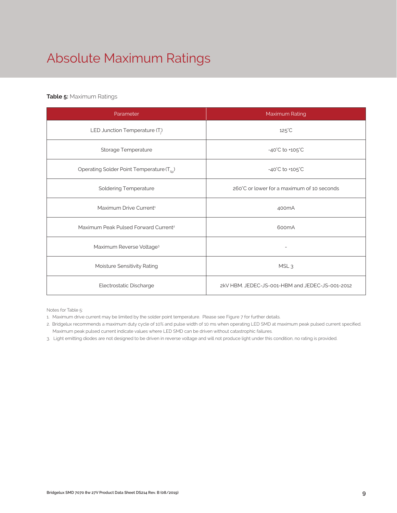# Absolute Maximum Ratings

## **Table 5:** Maximum Ratings

| Parameter                                             | Maximum Rating                                  |  |  |  |
|-------------------------------------------------------|-------------------------------------------------|--|--|--|
| LED Junction Temperature $(T_i)$                      | $125^{\circ}$ C                                 |  |  |  |
| Storage Temperature                                   | $-40^{\circ}$ C to $+105^{\circ}$ C             |  |  |  |
| Operating Solder Point Temperature (T <sub>SD</sub> ) | $-40^{\circ}$ C to $+105^{\circ}$ C             |  |  |  |
| <b>Soldering Temperature</b>                          | 260°C or lower for a maximum of 10 seconds      |  |  |  |
| Maximum Drive Current <sup>1</sup>                    | 400 <sub>m</sub> A                              |  |  |  |
| Maximum Peak Pulsed Forward Current <sup>2</sup>      | 600mA                                           |  |  |  |
| Maximum Reverse Voltage <sup>3</sup>                  |                                                 |  |  |  |
| Moisture Sensitivity Rating                           | MSL <sub>3</sub>                                |  |  |  |
| Electrostatic Discharge                               | 2kV HBM, JEDEC-JS-001-HBM and JEDEC-JS-001-2012 |  |  |  |

Notes for Table 5:

- 1. Maximum drive current may be limited by the solder point temperature. Please see Figure 7 for further details.
- 2. Bridgelux recommends a maximum duty cycle of 10% and pulse width of 10 ms when operating LED SMD at maximum peak pulsed current specified. Maximum peak pulsed current indicate values where LED SMD can be driven without catastrophic failures.
- 3. Light emitting diodes are not designed to be driven in reverse voltage and will not produce light under this condition, no rating is provided.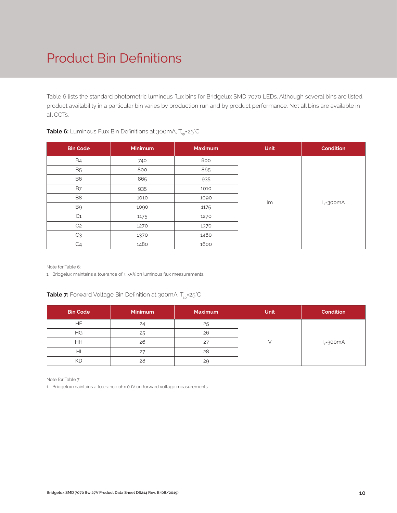# Product Bin Definitions

Table 6 lists the standard photometric luminous flux bins for Bridgelux SMD 7070 LEDs. Although several bins are listed, product availability in a particular bin varies by production run and by product performance. Not all bins are available in all CCTs.

| <b>Bin Code</b> | <b>Minimum</b> | <b>Maximum</b> | <b>Unit</b> | <b>Condition</b> |  |  |  |
|-----------------|----------------|----------------|-------------|------------------|--|--|--|
| <b>B4</b>       | 740            | 800            |             |                  |  |  |  |
| <b>B5</b>       | 800            | 865            |             | $I_F = 300mA$    |  |  |  |
| B <sub>6</sub>  | 865            | 935            |             |                  |  |  |  |
| <b>B7</b>       | 935            | 1010           |             |                  |  |  |  |
| B <sub>8</sub>  | 1010           | 1090           | lm          |                  |  |  |  |
| B9              | 1090           | 1175           |             |                  |  |  |  |
| C <sub>1</sub>  | 1175           | 1270           |             |                  |  |  |  |
| C <sub>2</sub>  | 1270           | 1370           |             |                  |  |  |  |
| C <sub>3</sub>  | 1370           | 1480           |             |                  |  |  |  |
| C <sub>4</sub>  | 1480           | 1600           |             |                  |  |  |  |

## **Table 6:** Luminous Flux Bin Definitions at 300mA, T<sub>sp</sub>=25°C

Note for Table 6:

1. Bridgelux maintains a tolerance of  $\pm$  7.5% on luminous flux measurements.

## **Table 7:** Forward Voltage Bin Definition at 300mA, T<sub>sp</sub>=25°C

| <b>Bin Code</b> | <b>Minimum</b> | <b>Maximum</b> | <b>Unit</b> | <b>Condition</b> |
|-----------------|----------------|----------------|-------------|------------------|
| <b>HF</b>       | 24             | 25             |             |                  |
| HG              | 25             | 26             |             | $I_{E} = 300mA$  |
| HH              | 26             | 27             |             |                  |
| HI              | 27             | 28             |             |                  |
| KD              | 28             | 29             |             |                  |

Note for Table 7:

1. Bridgelux maintains a tolerance of ± 0.1V on forward voltage measurements.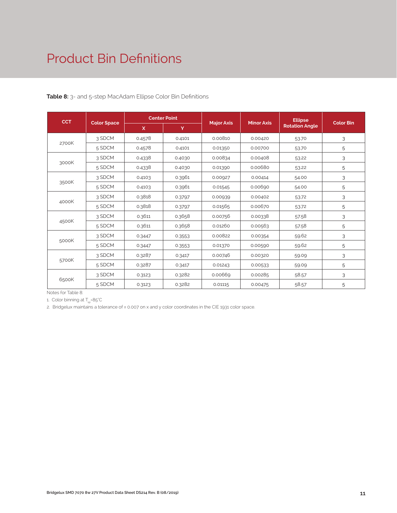# Product Bin Definitions

| <b>CCT</b> |                    |        | <b>Center Point</b> |                   |                   | <b>Ellipse</b>        | <b>Color Bin</b> |
|------------|--------------------|--------|---------------------|-------------------|-------------------|-----------------------|------------------|
|            | <b>Color Space</b> | X      | Y                   | <b>Major Axis</b> | <b>Minor Axis</b> | <b>Rotation Angle</b> |                  |
|            | 3 SDCM             | 0.4578 | 0.4101              | 0.00810           | 0.00420           | 53.70                 | 3                |
| 2700K      | 5 SDCM             | 0.4578 | 0.4101              | 0.01350           | 0.00700           | 53.70                 | 5                |
|            | 3 SDCM             | 0.4338 | 0.4030              | 0.00834           | 0.00408           | 53.22                 | 3                |
| 3000K      | 5 SDCM             | 0.4338 | 0.4030              | 0.01390           | 0.00680           | 53.22                 | 5                |
|            | 3 SDCM             | 0.4103 | 0.3961              | 0.00927           | 0.00414           | 54.00                 | 3                |
| 3500K      | 5 SDCM             | 0.4103 | 0.3961              | 0.01545           | 0.00690           | 54.00                 | 5                |
|            | 3 SDCM             | 0.3818 | 0.3797              | 0.00939           | 0.00402           | 53.72                 | 3                |
| 4000K      | 5 SDCM             | 0.3818 | 0.3797              | 0.01565           | 0.00670           | 53.72                 | 5                |
|            | 3 SDCM             | 0.3611 | 0.3658              | 0.00756           | 0.00338           | 57.58                 | 3                |
| 4500K      | 5 SDCM             | 0.3611 | 0.3658              | 0.01260           | 0.00563           | 57.58                 | 5                |
|            | 3 SDCM             | 0.3447 | 0.3553              | 0.00822           | 0.00354           | 59.62                 | 3                |
| 5000K      | 5 SDCM             | 0.3447 | 0.3553              | 0.01370           | 0.00590           | 59.62                 | 5                |
|            | 3 SDCM             | 0.3287 | 0.3417              | 0.00746           | 0.00320           | 59.09                 | 3                |
| 5700K      | 5 SDCM             | 0.3287 | 0.3417              | 0.01243           | 0.00533           | 59.09                 | 5                |
|            | 3 SDCM             | 0.3123 | 0.3282              | 0.00669           | 0.00285           | 58.57                 | 3                |
| 6500K      | 5 SDCM             | 0.3123 | 0.3282              | 0.01115           | 0.00475           | 58.57                 | 5                |

## **Table 8:** 3- and 5-step MacAdam Ellipse Color Bin Definitions

Notes for Table 8:

1. Color binning at  $T_{\rm so}$ =85°C

2. Bridgelux maintains a tolerance of ± 0.007 on x and y color coordinates in the CIE 1931 color space.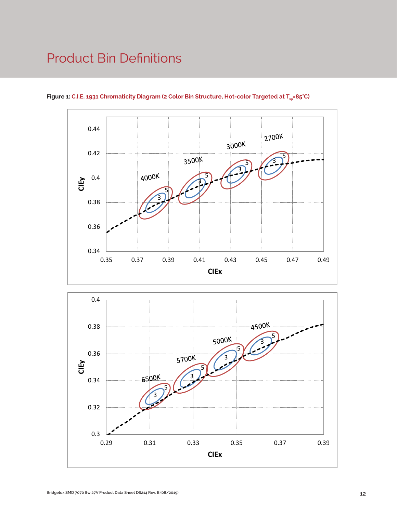# Product Bin Definitions



Figure 1: C.I.E. 1931 Chromaticity Diagram (2 Color Bin Structure, Hot-color Targeted at T<sub>sp</sub>=85°C)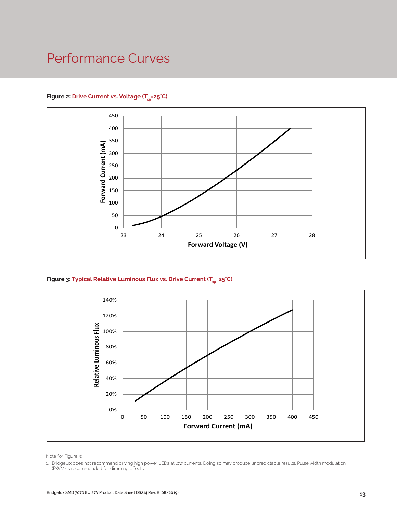# Performance Curves



## Figure 2: Drive Current vs. Voltage (T<sub>SD</sub>=25°C)





Note for Figure 3:

1. Bridgelux does not recommend driving high power LEDs at low currents. Doing so may produce unpredictable results. Pulse width modulation (PWM) is recommended for dimming effects.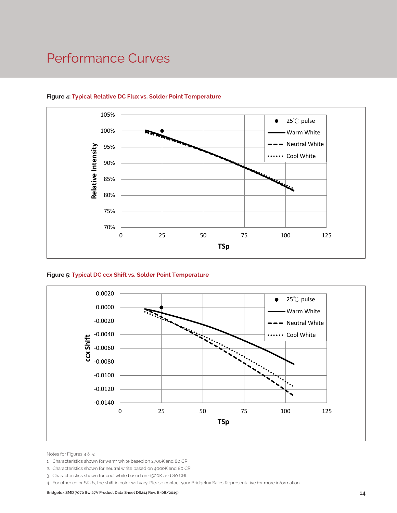## Performance Curves



## **Figure 4: Typical Relative DC Flux vs. Solder Point Temperature**





Notes for Figures 4 & 5:

- 1. Characteristics shown for warm white based on 2700K and 80 CRI.
- 2. Characteristics shown for neutral white based on 4000K and 80 CRI.
- 3. Characteristics shown for cool white based on 6500K and 80 CRI.
- 4. For other color SKUs, the shift in color will vary. Please contact your Bridgelux Sales Representative for more information.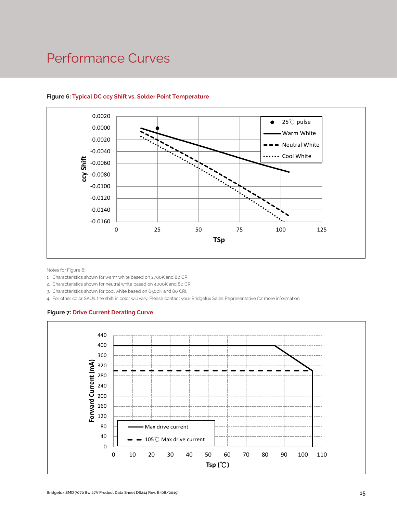## Performance Curves



## **Figure 6: Typical DC ccy Shift vs. Solder Point Temperature**

Notes for Figure 6:

- 1. Characteristics shown for warm white based on 2700K and 80 CRI.
- 2. Characteristics shown for neutral white based on 4000K and 80 CRI.
- 3. Characteristics shown for cool white based on 6500K and 80 CRI.

4. For other color SKUs, the shift in color will vary. Please contact your Bridgelux Sales Representative for more information.

#### **Figure 7: Drive Current Derating Curve**

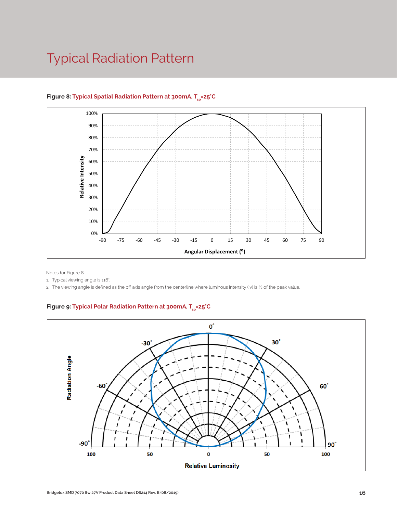# Typical Radiation Pattern



## Figure 8: Typical Spatial Radiation Pattern at 300mA, T<sub>sp</sub>=25°C

Notes for Figure 8:

1. Typical viewing angle is 116°.

2. The viewing angle is defined as the off axis angle from the centerline where luminous intensity (Iv) is ½ of the peak value.

## Figure 9: Typical Polar Radiation Pattern at 300mA, T<sub>sp</sub>=25°C

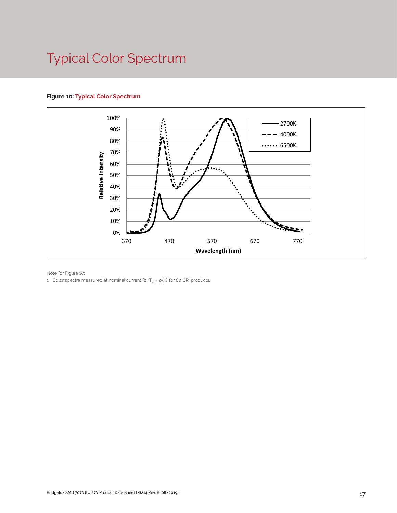# Typical Color Spectrum

## **Figure 10: Typical Color Spectrum**



Note for Figure 10:

1. Color spectra measured at nominal current for  $T_{sp}$  = 25°C for 80 CRI products.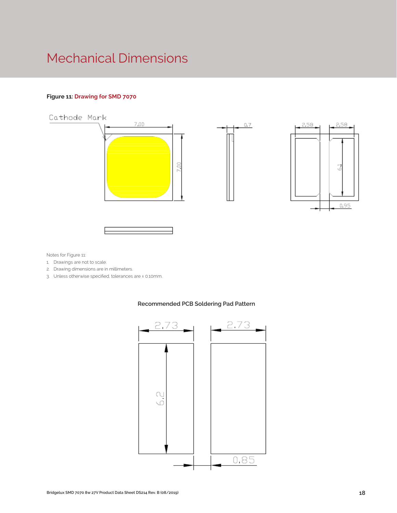# Mechanical Dimensions

## **Figure 11: Drawing for SMD 7070**



Notes for Figure 11:

- 1. Drawings are not to scale.
- 2. Drawing dimensions are in millimeters.
- 3. Unless otherwise specified, tolerances are ± 0.10mm.



## **Recommended PCB Soldering Pad Pattern**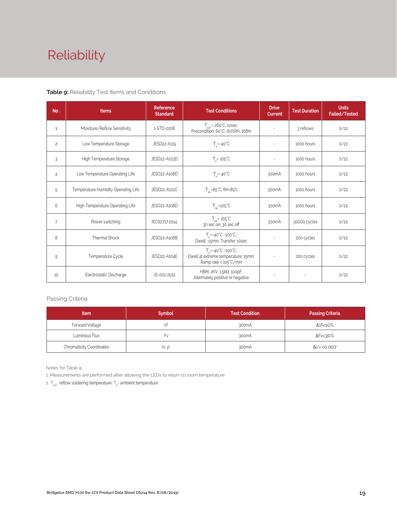# Reliability

## **Table 9:** Reliability Test Items and Conditions

| No.            | <b>Items</b>                        | Reference<br><b>Standard</b> | <b>Test Conditions</b>                                                                                 | <b>Drive</b><br><b>Current</b> | <b>Test Duration</b> | <b>Units</b><br><b>Failed/Tested</b> |
|----------------|-------------------------------------|------------------------------|--------------------------------------------------------------------------------------------------------|--------------------------------|----------------------|--------------------------------------|
| $\mathbf{1}$   | Moisture/Reflow Sensitivity         | J-STD-020E                   | $T_{\text{cld}}$ = 260°C, 10sec,<br>Precondition: 60°C, 60%RH, 168hr                                   |                                | 3 reflows            | 0/22                                 |
| $\overline{c}$ | Low Temperature Storage             | JESD22-A119                  | $T_a = -40^{\circ}C$                                                                                   | $\overline{\phantom{a}}$       | 1000 hours           | 0/22                                 |
| 3              | High Temperature Storage            | JESD22-A103D                 | $T_a = 105^{\circ}C$                                                                                   | $\overline{a}$                 | 1000 hours           | 0/22                                 |
| $\overline{4}$ | Low Temperature Operating Life      | JESD22-A108D                 | $T_s = -40^{\circ}C$                                                                                   | 300mA                          | 1000 hours           | 0/22                                 |
| 5              | Temperature Humidity Operating Life | JESD22-A101C                 | $T_{SD} = 85^{\circ}$ C, RH=85%                                                                        | 300mA                          | 1000 hours           | 0/22                                 |
| 6              | High Temperature Operating Life     | JESD22-A108D                 | $T_{\rm SD}$ =105 $\degree$ C                                                                          | 300mA                          | 1000 hours           | 0/22                                 |
| 7              | Power switching                     | IEC62717:2014                | $T_{\rm SD}$ = 105 $\degree$ C<br>30 sec on, 30 sec off                                                | 300mA                          | 30000 cycles         | 0/22                                 |
| 8              | Thermal Shock                       | JESD22-A106B                 | $T_s = -40^{\circ}C \sim 100^{\circ}C$ ;<br>Dwell: 15min; Transfer: 10sec                              |                                | 200 cycles           | 0/22                                 |
| 9              | Temperature Cycle                   | JESD22-A104E                 | $T_a = -40^{\circ}C - 100^{\circ}C$ ;<br>Dwell at extreme temperature: 15min;<br>Ramp rate < 105°C/min |                                | 200 cycles           | 0/22                                 |
| 10             | Electrostatic Discharge             | JS-001-2012                  | HBM, 2KV, 1.5kΩ, 100pF,<br>Alternately positive or negative                                            |                                |                      | 0/22                                 |

## Passing Criteria

| <b>Item</b>                     | <b>Symbol</b> | <b>Test Condition</b> | <b>Passing Criteria</b> |
|---------------------------------|---------------|-----------------------|-------------------------|
| Forward Voltage                 |               | 300 <sub>m</sub> A    | ΔVf<10%                 |
| Luminous Flux                   | ۲v            | 300mA                 | ΔFν<30%                 |
| <b>Chromaticity Coordinates</b> | (x, y)        | 300mA                 | Δu'v'<0.007             |

Notes for Table 9:

1. Measurements are performed after allowing the LEDs to return to room temperature

2.  $\mathsf{T}_{\mathsf{std}}$  : reflow soldering temperature;  $\mathsf{T}_{\mathsf{a}}$  : ambient temperature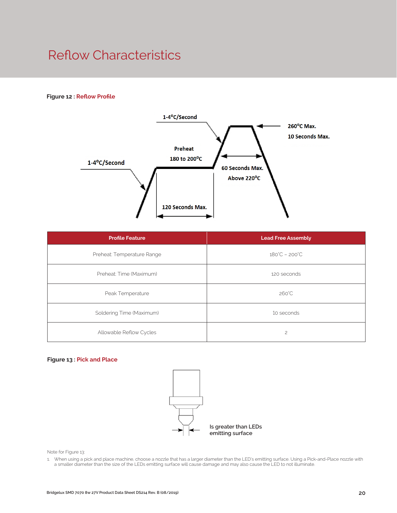## Reflow Characteristics

## **Figure 12 : Reflow Profile**



| <b>Profile Feature</b>     | <b>Lead Free Assembly</b>     |  |
|----------------------------|-------------------------------|--|
| Preheat: Temperature Range | $180^{\circ}C - 200^{\circ}C$ |  |
| Preheat: Time (Maximum)    | 120 seconds                   |  |
| Peak Temperature           | 260°C                         |  |
| Soldering Time (Maximum)   | 10 seconds                    |  |
| Allowable Reflow Cycles    | $\overline{c}$                |  |

#### **Figure 13 : Pick and Place**



Note for Figure 13:

1. When using a pick and place machine, choose a nozzle that has a larger diameter than the LED's emitting surface. Using a Pick-and-Place nozzle with a smaller diameter than the size of the LEDs emitting surface will cause damage and may also cause the LED to not illuminate.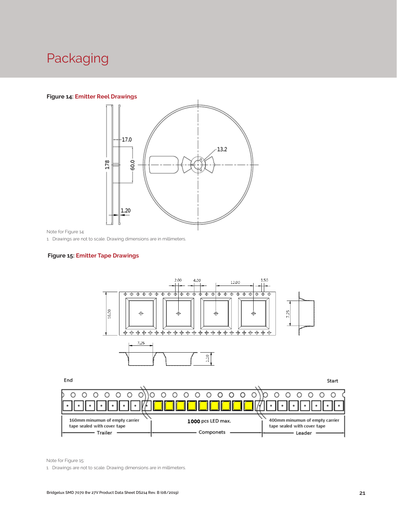# Packaging

## **Figure 14: Emitter Reel Drawings**



Note for Figure 14:

1. Drawings are not to scale. Drawing dimensions are in millimeters.

#### **Figure 15: Emitter Tape Drawings**



End

Start



Note for Figure 15:

1. Drawings are not to scale. Drawing dimensions are in millimeters.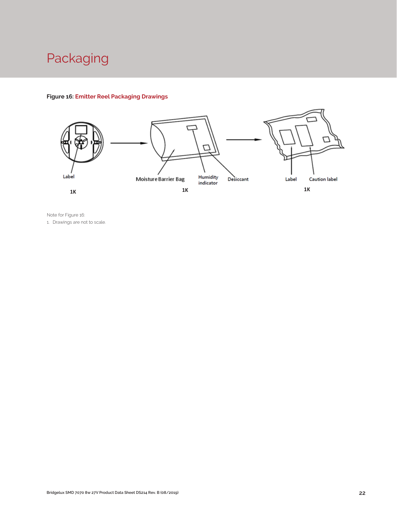# Packaging

## **Figure 16: Emitter Reel Packaging Drawings**



Note for Figure 16: 1. Drawings are not to scale.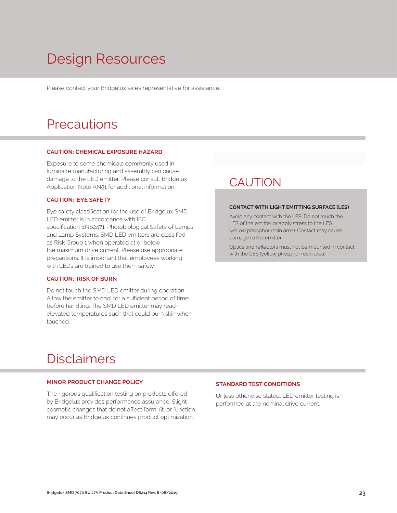# Design Resources

Please contact your Bridgelux sales representative for assistance.

## **Precautions**

#### **CAUTION: CHEMICAL EXPOSURE HAZARD**

Exposure to some chemicals commonly used in luminaire manufacturing and assembly can cause damage to the LED emitter. Please consult Bridgelux Application Note AN51 for additional information.

#### **CAUTION: EYE SAFETY**

Eye safety classification for the use of Bridgelux SMD LED emitter is in accordance with IEC specification EN62471: Photobiological Safety of Lamps and Lamp Systems. SMD LED emitters are classified as Risk Group 1 when operated at or below the maximum drive current. Please use appropriate precautions. It is important that employees working with LEDs are trained to use them safely.

## **CAUTION: RISK OF BURN**

Do not touch the SMD LED emitter during operation. Allow the emitter to cool for a sufficient period of time before handling. The SMD LED emitter may reach elevated temperatures such that could burn skin when touched.

## **CAUTION**

#### **CONTACT WITH LIGHT EMITTING SURFACE (LES)**

Avoid any contact with the LES. Do not touch the LES of the emitter or apply stress to the LES (yellow phosphor resin area). Contact may cause damage to the emitter

Optics and reflectors must not be mounted in contact with the LES (yellow phosphor resin area).

## Disclaimers

#### **MINOR PRODUCT CHANGE POLICY**

The rigorous qualification testing on products offered by Bridgelux provides performance assurance. Slight cosmetic changes that do not affect form, fit, or function may occur as Bridgelux continues product optimization.

## **STANDARD TEST CONDITIONS**

Unless otherwise stated, LED emitter testing is performed at the nominal drive current.